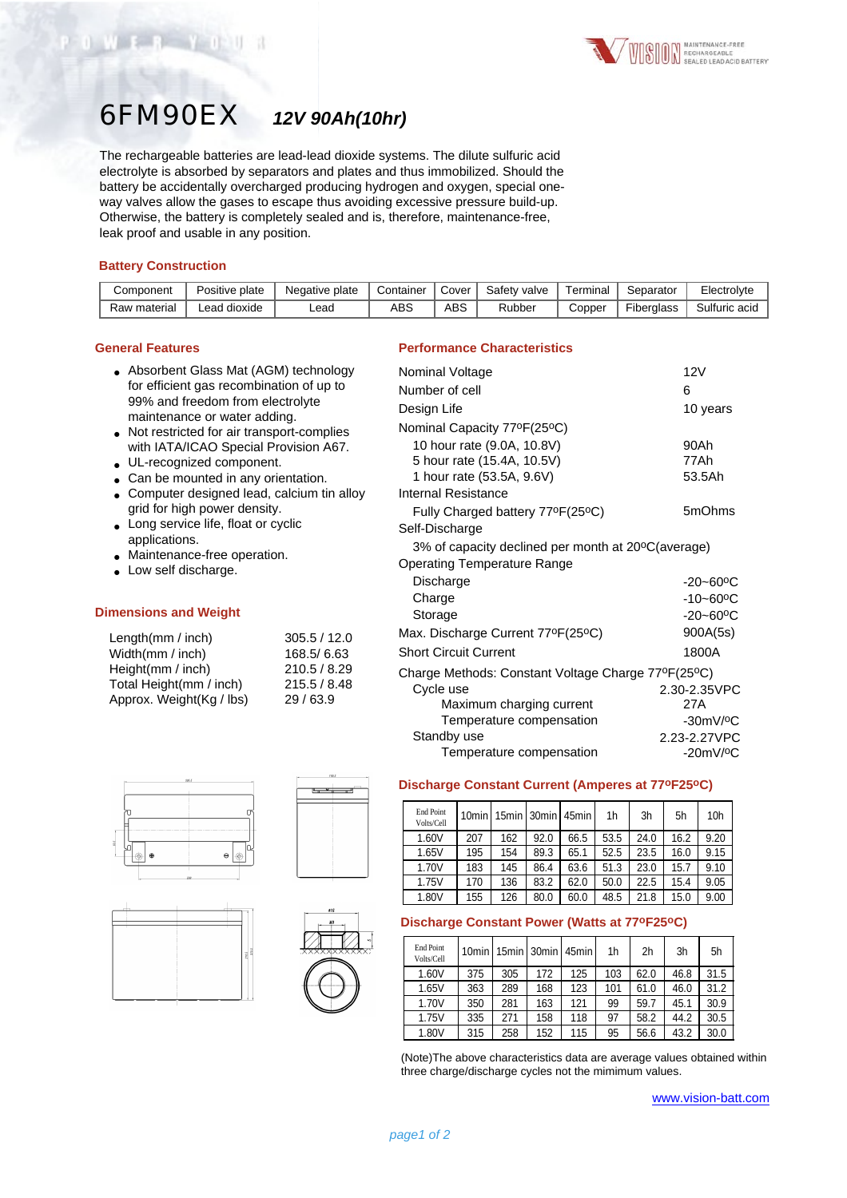

# 6FM90EX *12V 90Ah(10hr)*

The rechargeable batteries are lead-lead dioxide systems. The dilute sulfuric acid electrolyte is absorbed by separators and plates and thus immobilized. Should the battery be accidentally overcharged producing hydrogen and oxygen, special oneway valves allow the gases to escape thus avoiding excessive pressure build-up. Otherwise, the battery is completely sealed and is, therefore, maintenance-free, leak proof and usable in any position.

## **Battery Construction**

WEB YOU

| Component    | Positive plate | Negative plate | Container | Cover | Safety valve | Terminal | Separator         | Electrolyte   |
|--------------|----------------|----------------|-----------|-------|--------------|----------|-------------------|---------------|
| Raw material | ∟ead dioxide   | ∟ead           | ABS       | ABS   | Rubber       | Copper   | <b>Fiberalass</b> | Sulfuric acid |

#### **General Features**

- Absorbent Glass Mat (AGM) technology for efficient gas recombination of up to 99% and freedom from electrolyte maintenance or water adding.
- Not restricted for air transport-complies with IATA/ICAO Special Provision A67.
- UL-recognized component.
- Can be mounted in any orientation.
- Computer designed lead, calcium tin alloy grid for high power density.
- Long service life, float or cyclic applications.
- Maintenance-free operation.
- Low self discharge.

#### **Dimensions and Weight**

| Length(mm / inch)        | 305.5 / 12.0 |
|--------------------------|--------------|
| Width(mm / inch)         | 168.5/6.63   |
| Height(mm / inch)        | 210.5 / 8.29 |
| Total Height(mm / inch)  | 215.5 / 8.48 |
| Approx. Weight(Kg / lbs) | 29/63.9      |









# **Performance Characteristics**

| Nominal Voltage                                    | 12V                       |
|----------------------------------------------------|---------------------------|
| Number of cell                                     | 6                         |
| Design Life                                        | 10 years                  |
| Nominal Capacity 77ºF(25ºC)                        |                           |
| 10 hour rate (9.0A, 10.8V)                         | 90Ah                      |
| 5 hour rate (15.4A, 10.5V)                         | 77Ah                      |
| 1 hour rate (53.5A, 9.6V)                          | 53.5Ah                    |
| Internal Resistance                                |                           |
| Fully Charged battery 77°F(25°C)                   | 5mOhms                    |
| Self-Discharge                                     |                           |
| 3% of capacity declined per month at 20°C(average) |                           |
| Operating Temperature Range                        |                           |
| Discharge                                          | $-20 - 60$ <sup>o</sup> C |
| Charge                                             | $-10 - 60$ <sup>o</sup> C |
| Storage                                            | $-20 - 60$ <sup>o</sup> C |
| Max. Discharge Current 77ºF(25ºC)                  | 900A(5s)                  |
| <b>Short Circuit Current</b>                       | 1800A                     |
| Charge Methods: Constant Voltage Charge 77°F(25°C) |                           |
| Cycle use                                          | 2.30-2.35VPC              |
| Maximum charging current                           | 27A                       |
| Temperature compensation                           | $-30mV$ / $°C$            |
| Standby use                                        | 2.23-2.27VPC              |
| Temperature compensation                           | $-20mV$ / $^{\circ}$ C    |

# **Discharge Constant Current (Amperes at 77oF25oC)**

| <b>End Point</b><br>Volts/Cell | 10min I |     |      | 15min   30min   45min | 1h   | 3h   | 5h   | 10 <sub>h</sub> |
|--------------------------------|---------|-----|------|-----------------------|------|------|------|-----------------|
| 1.60V                          | 207     | 162 | 92.0 | 66.5                  | 53.5 | 24.0 | 16.2 | 9.20            |
| 1.65V                          | 195     | 154 | 89.3 | 65.1                  | 52.5 | 23.5 | 16.0 | 9.15            |
| 1.70V                          | 183     | 145 | 86.4 | 63.6                  | 51.3 | 23.0 | 15.7 | 9.10            |
| 1.75V                          | 170     | 136 | 83.2 | 62.0                  | 50.0 | 22.5 | 15.4 | 9.05            |
| 1.80V                          | 155     | 126 | 80.0 | 60.0                  | 48.5 | 21.8 | 15.0 | 9.00            |

## **Discharge Constant Power (Watts at 77oF25oC)**

| End Point<br>Volts/Cell |     |     |     | 10min   15min   30min   45min | 1 <sub>h</sub> | 2h   | 3h   | 5h   |
|-------------------------|-----|-----|-----|-------------------------------|----------------|------|------|------|
| 1.60V                   | 375 | 305 | 172 | 125                           | 103            | 62.0 | 46.8 | 31.5 |
| 1.65V                   | 363 | 289 | 168 | 123                           | 101            | 61.0 | 46.0 | 31.2 |
| 1.70V                   | 350 | 281 | 163 | 121                           | 99             | 59.7 | 45.1 | 30.9 |
| 1.75V                   | 335 | 271 | 158 | 118                           | 97             | 58.2 | 44.2 | 30.5 |
| 1.80V                   | 315 | 258 | 152 | 115                           | 95             | 56.6 | 43.2 | 30.0 |

(Note)The above characteristics data are average values obtained within three charge/discharge cycles not the mimimum values.

www.vision-batt.com